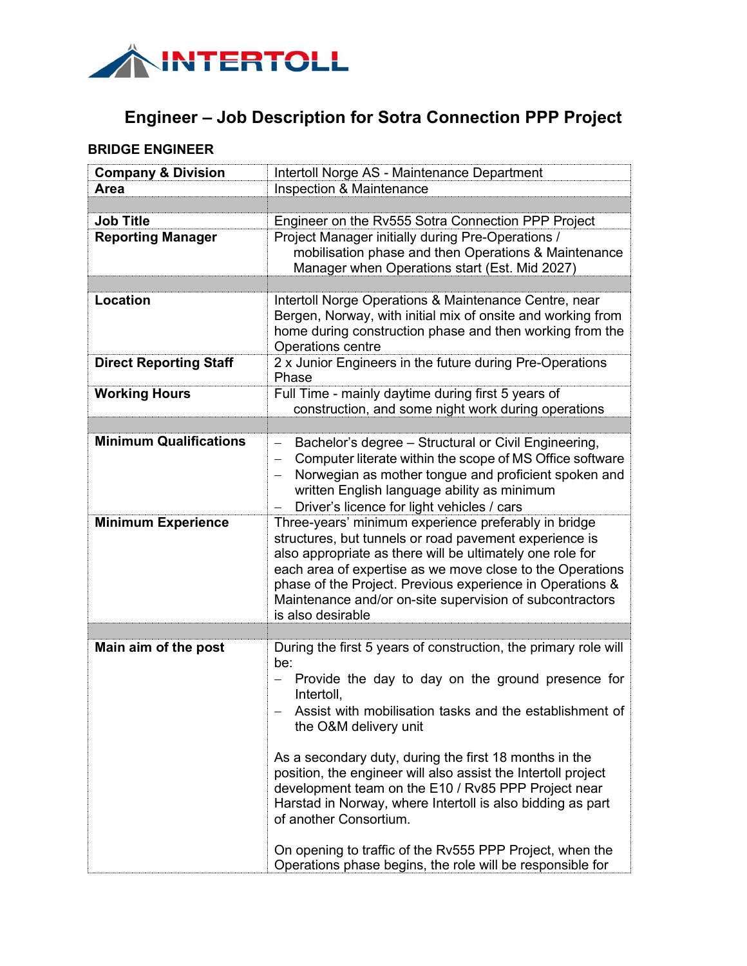

## **Engineer – Job Description for Sotra Connection PPP Project**

## **BRIDGE ENGINEER**

| <b>Company &amp; Division</b> | Intertoll Norge AS - Maintenance Department                                                                                                                                                                                                                                                                                                                                            |
|-------------------------------|----------------------------------------------------------------------------------------------------------------------------------------------------------------------------------------------------------------------------------------------------------------------------------------------------------------------------------------------------------------------------------------|
| Area                          | Inspection & Maintenance                                                                                                                                                                                                                                                                                                                                                               |
|                               |                                                                                                                                                                                                                                                                                                                                                                                        |
| <b>Job Title</b>              | Engineer on the Rv555 Sotra Connection PPP Project                                                                                                                                                                                                                                                                                                                                     |
| <b>Reporting Manager</b>      | Project Manager initially during Pre-Operations /<br>mobilisation phase and then Operations & Maintenance<br>Manager when Operations start (Est. Mid 2027)                                                                                                                                                                                                                             |
|                               |                                                                                                                                                                                                                                                                                                                                                                                        |
| <b>Location</b>               | Intertoll Norge Operations & Maintenance Centre, near<br>Bergen, Norway, with initial mix of onsite and working from<br>home during construction phase and then working from the<br>Operations centre                                                                                                                                                                                  |
| <b>Direct Reporting Staff</b> | 2 x Junior Engineers in the future during Pre-Operations<br>Phase                                                                                                                                                                                                                                                                                                                      |
| <b>Working Hours</b>          | Full Time - mainly daytime during first 5 years of<br>construction, and some night work during operations                                                                                                                                                                                                                                                                              |
|                               |                                                                                                                                                                                                                                                                                                                                                                                        |
| <b>Minimum Qualifications</b> | Bachelor's degree - Structural or Civil Engineering,<br>$\qquad \qquad -$<br>Computer literate within the scope of MS Office software<br>$\overline{\phantom{m}}$<br>Norwegian as mother tongue and proficient spoken and<br>written English language ability as minimum<br>Driver's licence for light vehicles / cars                                                                 |
| <b>Minimum Experience</b>     | Three-years' minimum experience preferably in bridge<br>structures, but tunnels or road pavement experience is<br>also appropriate as there will be ultimately one role for<br>each area of expertise as we move close to the Operations<br>phase of the Project. Previous experience in Operations &<br>Maintenance and/or on-site supervision of subcontractors<br>is also desirable |
|                               |                                                                                                                                                                                                                                                                                                                                                                                        |
| Main aim of the post          | During the first 5 years of construction, the primary role will<br>be:<br>Provide the day to day on the ground presence for<br>Intertoll,<br>Assist with mobilisation tasks and the establishment of<br>the O&M delivery unit<br>As a secondary duty, during the first 18 months in the<br>position, the engineer will also assist the Intertoll project                               |
|                               | development team on the E10 / Rv85 PPP Project near<br>Harstad in Norway, where Intertoll is also bidding as part<br>of another Consortium.<br>On opening to traffic of the Rv555 PPP Project, when the<br>Operations phase begins, the role will be responsible for                                                                                                                   |